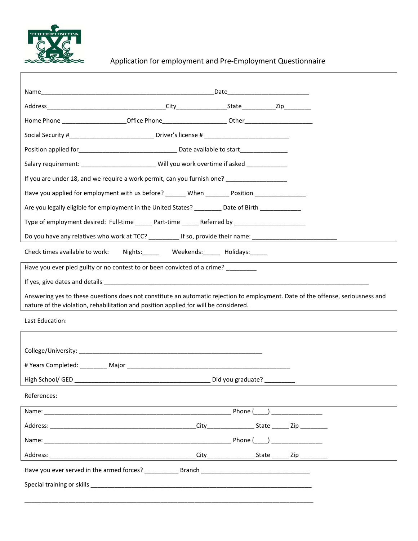

## Application for employment and Pre-Employment Questionnaire

| Home Phone ______________________Office Phone____________________Other______________________________                                                                                                                                 |  |  |  |  |
|--------------------------------------------------------------------------------------------------------------------------------------------------------------------------------------------------------------------------------------|--|--|--|--|
|                                                                                                                                                                                                                                      |  |  |  |  |
| Position applied for <b>the contract of the contract of the contract of the contract of the contract of the contract of the contract of the contract of the contract of the contract of the contract of the contract of the cont</b> |  |  |  |  |
| Salary requirement: ___________________________ Will you work overtime if asked _____________                                                                                                                                        |  |  |  |  |
| If you are under 18, and we require a work permit, can you furnish one?                                                                                                                                                              |  |  |  |  |
| Have you applied for employment with us before? _______ When ________ Position ____________________                                                                                                                                  |  |  |  |  |
| Are you legally eligible for employment in the United States? _________ Date of Birth _____________                                                                                                                                  |  |  |  |  |
| Type of employment desired: Full-time ______ Part-time ______ Referred by _________________________                                                                                                                                  |  |  |  |  |
| Do you have any relatives who work at TCC? ___________ If so, provide their name: ____________________________                                                                                                                       |  |  |  |  |
| Check times available to work: Nights: ______ Weekends: _____ Holidays: _____                                                                                                                                                        |  |  |  |  |
| Have you ever pled guilty or no contest to or been convicted of a crime?                                                                                                                                                             |  |  |  |  |
|                                                                                                                                                                                                                                      |  |  |  |  |
| Answering yes to these questions does not constitute an automatic rejection to employment. Date of the offense, seriousness and<br>nature of the violation, rehabilitation and position applied for will be considered.              |  |  |  |  |
| Last Education:                                                                                                                                                                                                                      |  |  |  |  |
|                                                                                                                                                                                                                                      |  |  |  |  |
|                                                                                                                                                                                                                                      |  |  |  |  |
|                                                                                                                                                                                                                                      |  |  |  |  |
| Did you graduate? __________                                                                                                                                                                                                         |  |  |  |  |
| References:                                                                                                                                                                                                                          |  |  |  |  |
|                                                                                                                                                                                                                                      |  |  |  |  |
|                                                                                                                                                                                                                                      |  |  |  |  |
|                                                                                                                                                                                                                                      |  |  |  |  |
|                                                                                                                                                                                                                                      |  |  |  |  |
|                                                                                                                                                                                                                                      |  |  |  |  |
|                                                                                                                                                                                                                                      |  |  |  |  |
|                                                                                                                                                                                                                                      |  |  |  |  |